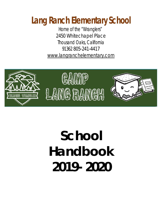## **Lang Ranch Elementary School**

*Home of the "Wranglers"* 2450 Whitechapel Place Thousand Oaks, California 91362 805-241-4417 [www.langranchelementary.com](http://www.langranchelementary.com/)



# **School Handbook 2019- 2020**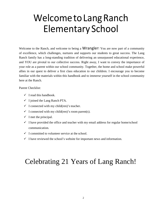## Welcome to Lang Ranch Elementary School

Welcome to the Ranch, and welcome to being a **Wrangler!** You are now part of a community of excellence, which challenges, nurtures and supports our students to great success. The Lang Ranch family has a long-standing tradition of delivering an unsurpassed educational experience, and YOU are pivotal to our collective success. Right away, I want to convey the importance of your role as a parent within our school community. Together, the home and school make powerful allies in our quest to deliver a first class education to our children. I encourage you to become familiar with the materials within this handbook and to immerse yourself in the school community here at the Ranch.

Parent Checklist:

- $\checkmark$  I read this handbook.
- $\checkmark$  I joined the Lang Ranch PTA.
- $\checkmark$  I connected with my child(ren)'s teacher.
- $\checkmark$  I connected with my child(ren)'s room parent(s).
- $\checkmark$  I met the principal.
- $\checkmark$  I have provided the office and teacher with my email address for regular home/school communication.
- $\checkmark$  I committed to volunteer service at the school.
- $\checkmark$  I have reviewed the school's website for important news and information.

### Celebrating 21 Years of Lang Ranch!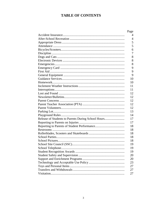#### **TABLE OF CONTENTS**

|                                                    | Page |
|----------------------------------------------------|------|
|                                                    | 4    |
|                                                    | 4    |
|                                                    | 5    |
|                                                    | 5    |
|                                                    | 6    |
|                                                    | 7    |
|                                                    | 8    |
|                                                    | 8    |
|                                                    | 8    |
|                                                    | 9    |
|                                                    | 9    |
|                                                    | 9    |
|                                                    | 10   |
|                                                    | 10   |
|                                                    | 11   |
|                                                    | 11   |
|                                                    | 12   |
|                                                    | 12   |
|                                                    | 12   |
|                                                    | 12   |
|                                                    | 12   |
|                                                    | 13   |
|                                                    | 14   |
| Release of Students to Parents During School Hours | 17   |
|                                                    | 17   |
|                                                    | 18   |
|                                                    | 18   |
|                                                    | 18   |
|                                                    | 18   |
|                                                    | 18   |
|                                                    | 19   |
|                                                    | 19   |
|                                                    | 19   |
|                                                    | 20   |
|                                                    | 20   |
|                                                    | 23   |
|                                                    | 27   |
|                                                    | 27   |
|                                                    | 27   |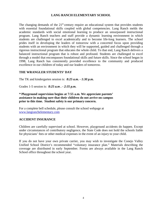#### **LANG RANCH ELEMENTARY SCHOOL**

The changing demands of the  $21<sup>st</sup>$  century require an educational system that provides students with essential foundational skills coupled with global competencies. Lang Ranch melds the academic standards with social emotional learning to produce an unsurpassed instructional program. Lang Ranch teachers and staff provide a dynamic learning environment in which students are challenged to excel academically and to become life-long learners. The school prides itself in developing the leaders of tomorrow with a concerted focus upon providing students with an environment in which they will be supported, guided and challenged through a rigorous instructional program that educates the whole child. To that end, Lang Ranch delivers a balanced instructional program that is robust and profound. Students are challenged to excel through a model that encompasses foundational skills and future skills. Since the school began in 1998, Lang Ranch has consistently provided excellence to the community and produced excellence in our children of today and our leaders of tomorrow.

#### **THE WRANGLER STUDENTS' DAY**

The TK and kindergarten session is: *8:25 a.m. - 1:30 p.m.*

Grades 1-5 session is: *8:25 a.m . - 2:35 p.m.*

#### *\** **Playground supervision begins at 7:55 a.m. We appreciate parents' assistance in making sure that their children do not arrive on campus prior to this time. Student safety is our primary concern.**

For a complete bell schedule, please consult the school webpage at [www.langranchelementary.com](http://www.langranchelementary.com/)

#### **ACCIDENT INSURANCE**

Children are carefully supervised at school. However, playground accidents do happen. Except under circumstances of contributory negligence, the State Code does not hold the schools liable for physicians' fees or other medical expenses in the event of an injury to your child.

If you do not have your own private carrier, you may wish to investigate the Conejo Valley Unified School District's recommended "voluntary insurance plan." Materials describing the coverage are distributed in early September. Forms are always available in the Lang Ranch School office throughout the school year.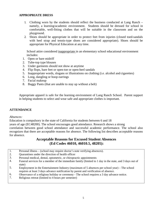#### **APPROPRIATE DRESS**

- 1. Clothing worn by the students should reflect the business conducted at Lang Ranch namely, a learning/academic environment. Students should be dressed for school in comfortable, well-fitting clothes that will be suitable in the classroom and on the playground.
- 2. Shoes should be appropriate in order to protect feet from injuries (closed toed-sandals with heel strap and tennis-type shoes are considered appropriate). Shoes should be appropriate for Physical Education at any time.

School attire considered inappropriate in an elementary school educational environment includes:

- 1. Open or bare midriff
- 2. Tube-top type blouses
- 3. Under garments should not show at anytime
- 4. Flip flops, bare feet or open-toe or open-heel sandals
- 5. Inappropriate words, slogans or illustrations on clothing (i.e. alcohol and cigarettes)
- 6. Long, dangling or hoop earrings
- 7. Facial makeup
- 8. Baggy Pants (that are unable to stay up without a belt)

Appropriate apparel is safe for the learning environment of Lang Ranch School. Parent support in helping students to select and wear safe and appropriate clothes is important.

#### **ATTENDANCE**

#### *Absences:*

Education is compulsory in the state of California for students between 6 and 18 years of age (EC48200). The school encourages good attendance. Research shows a strong correlation between good school attendance and successful academic performance. The school also recognizes that there are acceptable reasons for absence. The following list describes acceptable reasons for absence.

#### **Acceptable Reasons for Excused Student Absences (Ed Codes 46010, 46010.5, 48205):**

- 1. Personal illness – (school may require doctor's note verifying absences).
- 2. Quarantines under the direction of health officer
- 3. Personal medical, dental, optometric, or chiropractic appointments
- 4. Funeral services for a member of the immediate family (limited to 1 day in the state, and 3 days out of state)
- 5. Employment in the Entertainment Industry (maximum of 5 absences per school year) – The school requires at least 3 days advance notification by parent and verification of absence.
- 6. Observance of a religious holiday or ceremony - The school requires a 3 day advance notice.
- 7. Religious retreat (limited to 4 hours per semester)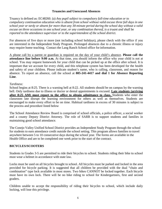#### **Truancies and Unexcused Absences**

Truancy is defined as: EC48260. (a) *Any pupil subject to compulsory full-time education or to compulsory continuation education who is absent from school without valid excuse three full days in one school year or tardy or absent for more than any 30-minute period during the school day without a valid excuse on three occasions in one school year, or any combination thereof, is a truant and shall be reported to the attendance supervisor or to the superintendent of the school district.*

For absences of five days or more (not including school holidays), please check with the office if you are interested in the Independent Study Program. Prolonged absences due to a chronic illness or injury may require home teaching. Contact the Lang Ranch School office for information.

A phone call by a parent or guardian is required on the day of your child's absence. **Please call the attendance line before 9:00 a.m.** At that time, you should inform the office why your child is not at school. You may request homework for your child that can be picked up at the office after school. It is important that we account for every child, and this telephone system has been developed for the health and safety of your children. Please indicate student's name, who is calling, classroom, and reason for absence. To report an absence, call the school at **805-241-4417 and dial 1 for Absence Reporting Line**.

#### *Tardiness:*

School begins at 8:25. There is a warning bell at 8:22. All students should be on campus by the warning bell. Only tardiness due to illness or doctor or dental appointments is excused. **Late students (arriving after 8:25 AM) must report to the office to obtain admittance to class.** Students who enter the classroom late disrupt the learning environment for others as well as themselves. Students are encouraged to make every effort to be on time. Habitual tardiness in excess of 30 minutes is subject to the process and procedure listed below

The School Attendance Review Board is comprised of school officials, a police officer, a social worker and a county Deputy District Attorney. The role of SARB is to support students and families in maintaining good school attendance.

The Conejo Valley Unified School District provides an Independent Study Program through the school for students to earn attendance credit outside the school setting. This program allows families to travel anywhere between 5 to 10 consecutive days during the school year. The forms are available in the Health Office and are to be completed one week prior to the start of the contract.

#### **BICYCLES/SCOOTERS**

Students in Grades 3-5 are permitted to ride their bicycles to school. Students riding their bike to school must wear a helmet in accordance with state law.

Locks must be used on all bicycles brought to school. All bicycles must be parked and locked in the area provided for bicycle parking. It is suggested that all children be provided with the dual "chain and combination" type lock available in most stores. Two bikes CANNOT be locked together. Each bicycle must have its own lock. There will be no bike riding to school for Kindergartners, first and second graders.

Children unable to accept the responsibility of riding their bicycles to school, which include daily locking, will lose this privilege.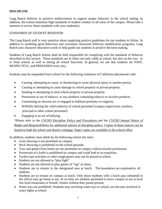#### **DISCIPLINE**

Lang Ranch believes in positive reinforcement to support proper behavior in the school setting. In addition, the school maintains high standards of student conduct in all areas of the campus. Please take a moment to review these standards with your student(s):

#### *STANDARDS OF STUDENT BEHAVIOR:*

The Lang Ranch staff is very sensitive about supplying positive guidelines for our students to follow. In addition to modeling good behaviors and consistent classroom behavior modification programs, Lang Ranch uses character education words to help guide our students in positive decision making.

Students of Lang Ranch School shall be held responsible for complying with the standards of behavior described in this section. These standards are in effect not only while in school, but also on the way to or from school, as well as during all school functions. In general, we ask that students are SAFE, RESPECTFUL, and PREPARED every day.

Students may be suspended from school for the following violations of California educational code:

- Causing, attempting to cause, or threatening to cause physical injury to another person.
- Causing or attempting to cause damage to school property or private property.
- Stealing or attempting to steal school property or private property.
- Possession or use of tobacco, or any products containing tobacco or nicotine products
- Committing an obscene act or engaged in habitual profanity or vulgarity.
- Willfully defying the valid authority of school personnel (campus supervisors, teachers, principal or other school personnel)
- Engaging in an act of bullying

*\**Please refer to the *CVUSD Discipline Policy and Procedures* and the *CVUSD Annual Notice of Rights and Responsibilities* for additional notices of discipline policy. Copies of these notices can be found on both the school and district webpage. Paper copies are available in the school office

In addition, students must abide by the following school site rules:

- Gum chewing is not permitted on campus.
- Rock throwing is prohibited on the school grounds.
- Toys and games from home are not permitted on campus without teacher permission.
- Possession of a knife is prohibited on campus and could lead to an expulsion.
- Tackle-type activities or other rough games may not be played at school.
- Students are not allowed to "play fight".
- Students are not allowed to play games of "tag" or chase.
- Students are to remain in the designated area at lunch. The boundaries are explained to all students.
- Students are to remain on campus at lunch. Only those students with a lunch pass (obtained in the office) may go home to eat. At no time are students permitted to leave campus to eat at local fast food restaurants or friends' homes without their parent present.
- Water toys are prohibited. Students may not bring water toys to school, nor become involved in water fights at school.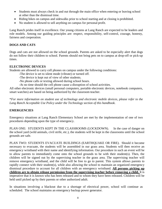- Students must always check in and out through the main office when entering or leaving school at other than the dismissal time.
- Riding bikes on campus and sidewalks prior to school starting and at closing is prohibited.
- No student is allowed to sell anything on campus for personal profit.

Lang Ranch prides itself in excellence. Our young citizens at Lang Ranch are expected to be leaders and role models. Among our guiding principles are: respect, responsibility, self-control, courage, honesty, fairness and cooperation.

#### **DOGS AND CATS**

Dogs and cats are not allowed on the school grounds. Parents are asked to be especially alert that dogs do not follow their children to school. Parents should not bring pets on to campus at drop-off or pick-up times.

#### **ELECTRONIC DEVICES**

Students are allowed to carry cell phones on campus under the following conditions:

- -The device is set to silent mode (vibrate) or turned off.
- -The device is kept out of view of other students.
- -No phone calls or texting allowed during school hours.
- -At no time should the cell phone cause a disruption of school activities.

All other electronic devices (small personal computers, portable electronic devices, notebook computers, smart watches) are based on being authorized by the classroom teacher.

\**For more information on student use of technology and electronic mobile devices, please refer to the Lang Ranch Acceptable Use Policy under the Technology section of this handbook*.

#### **EMERGENCIES**

Emergency situations at Lang Ranch Elementary School are met by the implementation of one of two procedures depending upon the type of emergency.

PLAN ONE: STUDENTS KEPT IN THE CLASSROOMS (LOCKDOWN). In the case of danger on the school yard (wild animals, civil strife, etc.), the students will be kept in the classrooms until the school grounds are safe.

PLAN TWO: STUDENTS EVACUATE BUILDINGS (EARTHQUAKE OR FIRE). Should it become necessary to evacuate, the students will be assembled in our grass area. Students will then receive an emergency wristband with their name and identifying information. Our procedure in such an event will be to allow parents to immediately come onto the school grounds to be with their student(s). Then, the children will be signed out by the supervising teacher in the grass area. The supervising teacher will remove emergency wristband, and the child will be free to go to parent. This system allows parents to rapidly connect with their student(s), while also allowing the school to maintain an organized emergency dismissal procedure to account for all children with an emergency wristband. **All persons picking up children are to obtain release permission from the supervising teacher before removing a child.** It is imperative that it is known who has been released and to whom they have been released. Children will be held until picked up by their parents or other authorized adult.

In situations involving a blackout due to a shortage of electrical power, school will continue as scheduled. The school maintains an emergency backup power generator.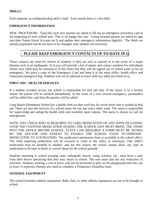#### **DRILLS**

Each semester an earthquake/drop drill is held. Each month there is a fire drill.

#### **EMERGENCY INFORMATION**

NEW PROCEDURE: Typically each year parents are asked to fill out an emergency procedure card at the beginning of each school year. This is no longer the case. Going forward parents are asked to sign into their Parent Portal Account on Q and update their emergency information digitally. The fields are already populated and do not have to be changed, only updates are necessary.

#### **PLEASE KEEP EMERGENCY CONTACTS UP-TO-DATE IN Q**

These contacts are used for release of students if they are sick or injured or in the event of a major disaster such as an earthquake. In Q you will provide a list of names and contact numbers for individuals whom your child may be released to in the event that they will be signed out of school early or for an emergency. We print a copy of the Emergency Card and keep it in the main office, health office and classroom emergency bag. Students will not be allowed to leave with any adult not listed on Q.

#### **FIRST AID – HEALTH SERVICES**

If a student accident occurs, the school is responsible for first aid only. If the injury is of a serious nature, the parent will be notified immediately. In the event of a very serious emergency, paramedics will be called first, and then the parents will be called.

Lang Ranch Elementary School has a health clerk on duty each day for seven hours that is trained in first aid. There are also the services of a school nurse for one day every other week. The nurse is responsible for supervising and aiding the health clerk and available upon request. The nurse is always on call for emergencies.

NOTE: ANY CHILD WHO IS REQUIRED TO TAKE MEDICATION OF ANY KIND INCLUDING OVER THE COUNTER MEDICATION DURING THE SCHOOL DAY MUST BRING THE ITEMS INTO THE OFFICE BEFORE SCHOOL. STATE LAW REQUIRES A FORM MUST BE SIGNED BY THE DOCTOR AND PARENT TO ENABLE THE SCHOOL STAFF TO DISPENSE MEDICATION TO YOUNGSTERS. The medication permission form is available in the school office. The child requiring medication will be excused to come to the office as necessary. One child's medication may be harmful to another, and for this reason, the school cannot allow any type of medication to be kept in desks or carried about on the school grounds.

Students returning to school wearing casts, orthopedic braces, using crutches, etc., must have a note from their doctor specifying that they may return to school. The note must also list any restriction of activities. Students wearing a cast or brace will not be permitted to play on the playground until the cast or brace is removed. Parents also need to complete a Temporary Disability form.

#### **GENERAL EQUIPMENT**

The school furnishes athletic equipment. Balls, bats, or other athletic equipment are not to be brought to school.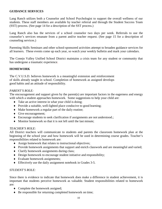#### **GUIDANCE SERVICES**

Lang Ranch utilizes both a Counselor and School Psychologist to support the overall wellness of our students. These staff members are available by teacher referral and through the Student Success Team (SST) process. (See page 14 for a description of the SST process.)

Lang Ranch also has the services of a school counselor two days per week. Referrals to use the counselor's services emanate from a parent and/or teacher request. (See page 15 for a description of counseling services.)

Parenting Skills Seminars and other school-sponsored activities attempt to broaden guidance services for all learners. These events come up each year, so watch your weekly bulletin and mark your calendars.

The Conejo Valley Unified School District maintains a crisis team for any student or community that has undergone a traumatic experience.

#### **HOMEWORK**

The C.V.U.S.D. believes homework is a meaningful extension and reinforcement of skills already taught in school. Completion of homework as assigned develops good habits and an attitude of responsibility.

#### *PARENT'S ROLE:*

The encouragement and support given by the parent(s) are important factors in the eagerness and energy with which a student approaches homework. Some suggestions to help your child are:

- ♦ Take an active interest in what your child is doing;
- ♦ Provide a suitable, well-lighted place conducive to good learning;
- ♦ Make homework a regular part of the daily routine;
- ♦ Give encouragement;
- ♦ Encourage students to seek clarification if assignments are not understood.;
- ♦ Monitor homework so that it is not left until the last minute;

#### *TEACHER'S ROLE:*

All District teachers will communicate to students and parents the classroom homework plan at the beginning of the school year and how homework will be used in determining course grades. Teacher's responsibilities related to homework are:

- ♦ Assign homework that relates to instructional objectives;
- ♦ Provide homework assignments that support and enrich classwork and are meaningful and varied;
- ♦ Clarify homework assignments during class;
- ♦ Design homework to encourage student initiative and responsibility;
- ♦ Evaluate homework assignments;
- ♦ Effectively use the daily assignment notebook in Grades 3-5.

#### *STUDENT'S ROLE:*

Since there is evidence to indicate that homework does make a difference in student achievement, it is important that students perceive homework as valuable. Student responsibilities related to homework are:

- ♦ Complete the homework assigned;
- ♦ Be responsible for returning completed homework on time;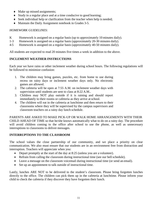- ♦ Make up missed assignments;
- ♦ Study in a regular place and at a time conducive to good learning;
- ♦ Seek individual help or clarification from the teacher when help is needed;
- ♦ Maintain the Daily Assignment notebook in Grades 3-5.

#### *HOMEWORK GUIDELINES:*

- K Homework is assigned on a regular basis (up to approximately 10 minutes daily).
- 1-3 Homework is assigned on a regular basis (approximately 20-30 minutes daily).
- 4-5 Homework is assigned on a regular basis (approximately 40-50 minutes daily).

All students are expected to read 20 minutes five times a week in addition to the above.

#### **INCLEMENT WEATHER INSTRUCTIONS**

Each year we have rains or other inclement weather during school hours. The following regulations will be followed to minimize confusion:

- 1. The children may bring games, puzzles, etc. from home to use during recess on rainy days or inclement weather days only. No electronic games are allowed.
- 2. The cafeteria will be open at 7:55 A.M. on inclement weather days with supervision until students are sent to class at 8:22 A.M..
- 3. Children may NOT play outside if it is raining and should report immediately to their rooms or cafeteria as they arrive at school.
- 4. The children will eat in the cafeteria at lunchtime and then return to their classrooms where they will be supervised by the campus supervisors and classroom teachers on a rainy day lunch schedule.

PARENTS ARE ASKED TO MAKE PICK-UP OR WALK HOME ARRANGEMENTS WITH THEIR CHILD AHEAD OF TIME so that he/she knows automatically what to do on a rainy day. The procedure will avoid children coming to the office after school to use the phone, as well as unnecessary interruptions to classrooms to deliver messages.

#### **INTERRUPTIONS TO THE CLASSROOM**

The school values the close partnership of our community, and we place a priority on clear communication. We also must ensure that our students are in an environment free from distraction and interruption. Teachers will appreciate when you:

- Depart promptly at the start of the day at 8:25 (unless you are a volunteer).
- Refrain from calling the classroom during instructional time (see our bell schedule).
- Leave a message on the classroom voicemail during instructional time (or send an email).
- Set up an appointment to talk outside of instructional time.

Lastly, lunches ARE NOT to be delivered to the student's classroom. Please bring forgotten lunches directly to the office. The children can pick them up in the cafeteria at lunchtime. Please inform your child to check the cafeteria if they discover they have forgotten their lunch.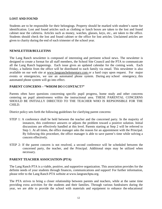#### **LOST AND FOUND**

Students are to be responsible for their belongings. Property should be marked with student's name for identification. Lost and found articles such as clothing or lunch boxes are taken to the lost and found cabinet near the cafeteria. Articles such as money, watches, glasses, keys, etc., are taken to the office. Students should check the lost and found cabinet or the office for lost articles. Unclaimed articles are given to charity during the end of each trimester of the school year.

#### **NEWSLETTER/BULLETINS**

The Lang Ranch newsletter is composed of interesting and pertinent school news. The newsletter is designed to create a format for all staff members, the School Site Council and the PTA to communicate all the Lang Ranch happenings. Each issue gives an updated calendar for the coming week. Each Friday, a bulletin from the office will be distributed to each family via email. This newsletter is also available on our web site [at www.langranchelementary.com](http://www.langranchelementary.com/) or a hard copy upon request. For major events or emergencies, we use an automated phone system. During any school emergency, this automated phone system will go into effect.

#### **PARENT CONCERNS – "WHOM DO I CONTACT?"**

Parents often have questions concerning specific pupil progress, home study and other concerns centering on pupil attentiveness within the instructional area. THESE PARENTAL CONCERNS SHOULD BE INITIALLY DIRECTED TO THE TEACHER WHO IS REPSONSIBLE FOR THE CHILD.

District policy sets forth the following guidelines for clarifying parent concerns:

- STEP 1: A conference shall be held between the teacher and the concerned party. In the majority of instances, this conference answers or adjusts the problem toward a positive solution. Initial discussions are effectively handled at this level. Parents starting at Step 2 will be referred to Step 1. At all times, the office manager asks the reason for an appointment with the Principal. By following this procedure, the office manager is able to save parent's time while solving a concern effectively.
- STEP 2: If the parent concern is not resolved, a second conference will be scheduled between the concerned party, the teacher, and the Principal. Additional steps may be utilized when necessary.

#### **PARENT TEACHER ASSOCIATION (PTA)**

The Lang Ranch PTA is a viable, positive, and supportive organization. This association provides for the definite needs of your students through finances, communications and support! For further information, please refer to the Lang Ranch PTA website at [www.langranchpta.org.](http://www.langranchpta.org/)

The PTA strives to bring a closer relationship between parents and teachers, while at the same time providing extra activities for the students and their families. Through various fundraisers during the year, we are able to provide the school with materials and equipment to enhance the educational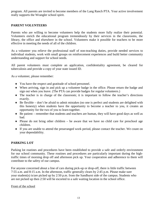program. All parents are invited to become members of the Lang Ranch PTA. Your active involvement really supports the Wrangler school spirit.

#### **PARENT VOLUNTEERS**

Parents who are willing to become volunteers help the students more fully realize their potential. Volunteers enrich the educational program tremendously by their services in the classrooms, the library, the office and elsewhere in the school. Volunteers make it possible for teachers to be more effective in meeting the needs of all of the children.

As a volunteer you relieve the professional staff of non-teaching duties, provide needed services to individual students, work with small groups on reinforcement experiences and build better community understanding and support for school needs.

All parent volunteers must complete an application, confidentiality agreement, be cleared for tuberculosis and provide a copy of your state issued ID.

As a volunteer, please remember:

- ♦ You have the respect and gratitude of school personnel.
- ♦ When arriving, sign in and pick up a volunteer badge in the office. Please return the badge and sign out when you leave. (The PTA can provide badges for regular volunteers.)
- ♦ The teacher is in charge of the classroom; it is important to follow the teacher's directions exactly.
- ♦ Be flexible don't be afraid to admit mistakes (no one is perfect and students are delighted with this honesty) when students have the opportunity to become a teacher to you, it creates an opportunity for the two of you to learn together.
- ♦ Be patient remember that students and teachers are human, they will have good days as well as bad.
- ♦ Please do not bring other children be aware that we have no child care for preschool age children.
- ♦ If you are unable to attend the prearranged work period, please contact the teacher. We count on your dependability.

#### **PARKING LOT**

Parking lot routines and procedures have been established to provide a safe and orderly environment for our school community. These routines and procedures are particularly important during the hightraffic times of morning drop off and afternoon pick up. Your cooperation and adherence to them will contribute to the safety of our campus.

For anyone concerned about a line of cars during pick-up or drop-off, there is little traffic between 7:55 a.m. and 8:15 a.m. In the afternoon, traffic generally clears by 2:45 p.m. Please make sure your student(s) is/are picked up by 2:50 p.m. from the Sandhurst side of the campus. Students who are not picked up then 2:50 will be escorted to a safe waiting location in the school office.

Front of the school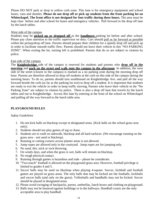Please DO NOT park or drop in yellow curb zone. This lane is for emergency equipment and school buses, vans and shuttles. **Please do not drop off or pick up students from the front parking lot on**  Whitechapel. The front office is not designed for foot traffic during these hours. The area must be kept clear before and after school for buses and emergency vehicles. Pull forward to the drop off lane by the lunch tables.

#### West side of the campus

Students may be **picked up or dropped off** in the **Sandhurst** parking lot before and after school. Please pay close attention to the traffic supervisor on duty. Cars should pull as far forward as possible within the pickup/drop off lane. Parents should prepare their children for a speedy drop off and pick up in order to facilitate smooth traffic flow. Parents should not leave their vehicle in this "NO PARKING ZONE". When exiting the lot, turning left is prohibited. Parents that do so are subject to citation by police.

#### East side of the campus

The **Knightsbridge** side of the campus is reserved for students and parents who **drop off in the morning** and **park on the street and walk onto the campus in the afternoon**. In addition, the west side of the street (closest to the campus) is marked as a no parking zone during the morning drop off hour. Parents are therefore allowed to drop off students at the curb on this side of the campus during the morning hours. To do so, parents should turn southbound on Knightsbridge Ave. and pull all the way forward beside the curb (as far as the parking lot exit) to drop off a student. It is important that students are ready to exit the vehicle in order to keep traffic moving. Parents who leave their vehicle in the "No Parking Zone" are subject to citation by police. There is also a drop off lane that travels by the lunch tables and out to Knightsbridge. Access this lane by entering at the front of the school on Whitechapel and pulling all the way forward to the lunch table area.

#### **PLAYGROUND RULES**

#### *Safety Guidelines*

- 1. Do not kick balls on blacktop except in designated areas. (Kick balls on the school grass area only).
- 2. Students should not play games of tag or chase.
- 3. Students are to *walk* on sidewalk, blacktop and all hard surfaces. (We encourage running on the grass area – not sand or blacktop).
- 4. Running or cutting corners across planter areas is not allowed.
- 5. Jump ropes are allowed only in the courtyard. Jump ropes are for jumping only.
- 6. No sand, dirt, stick or rock throwing.
- 7. On windy days, and when the grass is wet, balls will remain on blacktop.
- 8. No rough physical contact.
- 9. Running through games is hazardous and rude please be considerate.
- 10. "Two-touch" football is allowed on the playground grass area. However, football privilege is limited to grades 4 and 5.
- 11. Soccer balls may be used on blacktop when playing 4-square. Soccer, kickball and football games are played on grass areas. The only balls that may be kicked are the footballs, kickballs and soccer balls (and only on the grass). Volleyballs and handballs may not be kicked. Soccer should be played in designated areas.
- 12. Please avoid swinging of backpacks, purses, umbrellas, lunch boxes and clothing on playground.
- 13. Balls may not be bounced against buildings or in the hallways. Handball courts are the only acceptable area to play handball.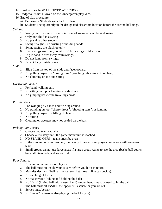- 14. Hardballs are NOT ALLOWED AT SCHOOL.
- 15. Dodgeball is not allowed on the kindergarten play yard.
- 16. End of play procedure:
	- a) Bell rings Students walk back to class.
	- b) Students line up orderly in the designated classroom location before the second bell rings.

#### *Swings:*

- 1. Wait your turn a safe distance in front of swing never behind swing.
- 2. Only one child in a swing
- 3. No pushing other student
- 4. Swing straight no twisting or holding hands
- 5. Swing facing the blacktop only
- 6. If all swings are filled, count to 30 full swings to take turns.
- 7. Dig in sand in area away from swings.
- 8. Do not jump from swings.
- 9. Do not hang upside down.

#### *Slide:*

- 1. Slide from the top of the slide and face forward.
- 2. No pulling anyone or "dogfighting" (grabbing other students on bars)
- 3. No climbing on top and sitting

#### *Horizontal Ladder:*

- 1. For hand walking only
- 2. No sitting on top or hanging upside down
- 3. No jumping bars while traveling across

#### *Parallel Bars:*

- 1. For swinging by hands and twirling around
- 2. No standing on top, "cherry drops", "shooting stars", or jumping
- 3. No pulling anyone or lifting off hands
- 4. No sitting
- 5. Clothing or sweaters may not be tied on the bars.

#### *Picking Fair Teams:*

- 1. Choose two team captains.
- 2. Choose alternately until the game maximum is reached.
- 3. NO STAND-OFFS teams must be even
- 4. If the maximum is not reached, then every time two new players come, one will go on each team.
- 5. Small groups cannot use large areas if a large group wants to use the area (basketball courts, baseball diamonds, and soccer field).

#### *Four Square:*

- 1. No maximum number of players
- 2. The ball must hit inside your square before you hit it in return.
- 3. Majority decides if ball is in or out (or first three in line can decide).
- 4. No catching of the ball
- 5. No "takeovers" (taking and holding the ball)
- 6. No "fists" (hitting ball with closed hand) open hands must be used to hit the ball.
- 7. The ball must hit INSIDE the opponent's square or you are out.
- 8. Serves must be fair.
- 9. No "saves" (someone else playing the ball for you)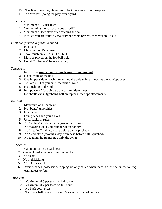- 10. The line of waiting players must be three away from the square.
- 11. No "redo's" (doing the play over again)

#### *Prisoner:*

- 1. Maximum of 12 per team
- 2. No slamming the ball at anyone or OUT
- 3. Maximum of two steps after catching the ball
- 4. If called you are "out" by majority of people present, then you are OUT!

#### *Football: (limited to grades 4 and 5)*

- 1. Fair teams
- 2. Maximum of 15 per team
- 3. Two- touch only NOT TACKLE
- 4. Must be played on the football field
- 5. Count "10 banana" before rushing.

#### *Tetherball:*

- 1. No ropes **you can never touch rope or you are out**.
- 2. No catching of the ball
- 3. One hit per side on each turn around the pole unless it touches the pole/opponent
- 4. You are OUT if you enter the neutral zone.
- 5. No touching of the pole
- 6. No "popcorn" (popping up the ball multiple times)
- 7. No "bottle caps" (grabbing ball on top near the rope attachment)

#### *Kickball:*

- 1. Maximum of 11 per team
- 2. No "bunts" (short hit)
- 3. Fair teams
- 4. Four pitches and you are out
- 5. Usual kickball rules.
- 6. No "sliding" (sliding on the ground into base)
- 7. No "tagging up" (You cannot run on pop fly.)
- 8. No "stealing" (taking a base before ball is pitched)
- 9. No "lead offs" (moving away from base before ball is pitched)
- 10. No tagging the runner (tag only the cone)

#### *Soccer:*

- 1. Maximum of 15 on each team
- 2. Game closed when maximum is reached
- 3. No cleats
- 4. No high kicking
- 5. AYSO rules apply.
- 6. Offside, hands, possession, tripping are only called when there is a referee unless fouling team agrees to foul.

#### *Basketball:*

- 1. Maximum of 5 per team on half court
- 2. Maximum of 7 per team on full court
- 3. No back court press
- 4. Two on a ball or out of bounds > switch off out of bounds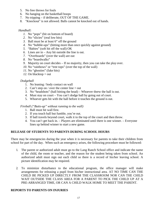- 5. No free throws for fouls
- 6. No hanging on the basketball hoops
- 7. No tripping if deliberate, OUT OF THE GAME.
- 8. "Knockout" is not allowed. Balls cannot be knocked out of hands.

#### *Handball:*

- *1.* No "pops" (hit on bottom of board)
- *2.* No "slicies" (real low hits)
- *3.* Ball must be at least 6" off the ground
- *4.* No "bubble-ups" (hitting more than once quickly against ground)
- *5.* "Babies" (soft hit off the wall) OK
- *6.* Lines are in Any hit outside the line is out.
- *7.* "Overboards" (over the wall) are out
- *8.* No "boardwalks"
- *9.* Majority on court decides If no majority, then you can take the play over.
- *10.* No "rainbows" or "tree tops" (over the top of the wall)
- *11.* No "ghosties" (fake hits)
- *12.* On blacktop = out

#### *Dodgeball*

- 1. No leaning / body contact on wall
- 2. Can't step on / over the center line  $=$  out
- 3. No "headshots" (ball hitting the head) Whoever threw the ball is out.
- 4. Must stay on court You can't dodge ball by going out of court.
- 5. Whoever gets hit with the ball before it touches the ground is out.

*Fireball ("Butts-up" without running to the wall)*

- 1. Ball must hit wall first.
- 2. If you touch ball but fumble, you're out.
- 3. If ball travels beyond court, walk it to the top of the court and then throw.
- 4. You can't get back in. Players are eliminated until there is one winner. Everyone lines up behind winner to start a new game.

#### **RELEASE OF STUDENTS TO PARENTS DURING SCHOOL HOURS**

There may be emergencies during the year when it is necessary for parents to take their children from school for part of the day. When such an emergency arises, the following procedure must be followed:

- 1. The parent or authorized adult must go to the Lang Ranch School office and indicate the name of the child, the room or teacher, and the reason for the student being taken from school. An authorized adult must sign out each child so there is a record of his/her leaving school. A picture identification may be required.
- 2. To minimize disturbance to the educational program, the office manager will make arrangements for releasing a pupil from his/her instructional area. AT NO TIME CAN THE CHILD BE PICKED UP DIRECTLY FROM THE CLASSROOM NOR CAN THE CHILD WAIT OUTSIDE THE CLASS AREA FOR A PARENT TO PICK THE CHILD UP AT A PRE-ARRANGED TIME, OR CAN A CHILD WALK HOME TO MEET THE PARENT.

#### **REPORTS TO PARENTS ON INJURIES**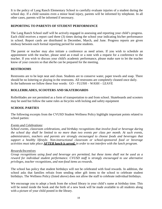It is the policy of Lang Ranch Elementary School to carefully evaluate injuries of a student during the school day. If a child sustains even a minor head injury, parents will be informed by telephone. In all other cases, parents will be informed if necessary.

#### **REPORTING TO PARENTS OF STUDENT PERFORMANCE**

The Lang Ranch School staff will be actively engaged in assessing and reporting your child's progress. Each child receives a report card three (3) times during the school year indicating his/her performance in school. Report cards are distributed in December, March, and June. Progress reports are given midway between each formal reporting period for some students.

The parent or teacher may also initiate a conference as need arises. If you wish to schedule an appointment with the teacher, please send an e-mail or a note with a request for a conference to the teacher. If you wish to discuss your child's academic performance, please make sure to let the teacher know of your concern so that she/he can be prepared for the meeting.

#### **RESTROOMS**

Restrooms are to be kept neat and clean. Students are to conserve water, paper towels and soap. There should be no loitering or playing in the restrooms. All restrooms are completely cleaned once daily. In the bathroom we follow these four words: GO – FLUSH – WASH – LEAVE

#### **ROLLERBLADES, SCOOTERS AND SKATEBOARDS**

Rollerblades are not permitted as a form of transportation to and from school. Skateboards and scooters may be used but follow the same rules as bicycles with locking and safety equipment

#### **SCHOOL PARTIES**

The following excerpts from the CVUSD Student Wellness Policy highlight important points related to school parties:

#### *Events and Celebrations:*

*School events, classroom celebrations, and birthday recognitions that involve food or beverage during the school day shall be limited to no more than two events per class per month. At such events, administrators, teachers and parents are strongly encouraged to choose foods and beverages that support a healthy lifestyle. Non-instructional classroom or school-sponsored food or beverage activities must take place AFTER lunch is served, in order to not interfere with the lunch program.*

#### *Rewards/Incentives*

*Group recognitions using food and beverage are permitted, but these items shall not be used as a reward for individual student performance. CVUSD staff is strongly encouraged to use alternative privileges, teacher recognitions, and non-food items as rewards.*

The school has policy that student birthdays will not be celebrated with food rewards. In addition, the school asks that families refrain from sending other gift items to the school to celebrate student birthdays. The Wellness Policy (listed above) does not allow the staff to celebrate individual birthdays.

We encourage you to adopt a book from the school library in your child's name at birthday time. This will be noted inside the book and the birth of a new book will be made available to all students along with a picture of your child posted in the library.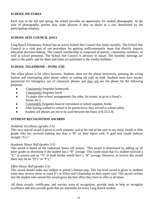#### **SCHOOL PICTURES**

Each year in the fall and spring, the school provides an opportunity for student photographs. At the time of photography, parents may order pictures if they so desire at a cost determined by the participating company.

#### **SCHOOL SITE COUNCIL (SSC)**

Lang Ranch Elementary School has an active School Site Council that meets monthly. The School Site Council is a vital part of our procedure for gaining staff/community input that directly impacts education decision-making. The council membership is composed of parents, community members, as well as school personnel. The School Site Council is advisory in nature. The monthly meetings are open to the public and the dates and times are published in the weekly bulletins.

#### **SCHOOL TELEPHONE – PUPIL USE**

The office phone is for office business. Students often use the phone incorrectly, pressing the wrong buttons and interrupting other phone callers or cutting off calls on hold. Students must have teacher permission for emergency use of classroom phones and may not use the phone for the following purposes:

- ♦ Consistently forgotten homework
- ♦ Consistently forgotten lunch
- ♦ To make after-school arrangements (for rides, for scouts, to go to a friend's house, etc.)
- ♦ Consistently forgotten musical instrument or school supplies, books
- ♦ After having walked to school to let parent know they arrived at school safely
- Student cell phones are not to be used between the hours of 8:25-2:35

#### **STUDENT RECOGNITION AWARDS**

#### *Academic Excellence (grades 3-5)*

This very special award is given at each trimester and at the end of the year to any third, fourth or fifth grader who has received nothing less than a "B" on their report card. A gold seal would indicate straight "A's."

#### *Academic Honor Roll (grades 3-5)*

This award is based on the traditional honor roll system. This award is determined by adding up all letter grades to determine if the student has a "B" average. This could mean that if a student received a "C" in science and an "A" in math he/she would have a "B" average. However, to receive this award there may be no "D's" or "F's."

#### *Effort Honor Roll (grades 3-5)*

This award should make any student or parent's buttons pop. This top level award is given to students when they receive seven or more E's in Effort and Citizenship on their report card. This award verifies that the student who earned this award gives the best effort they have to offer at all times.

All these awards, certificates, and various ways of recognition, provide tools to help us recognize excellence and also provide goals that are attainable for every Lang Ranch student.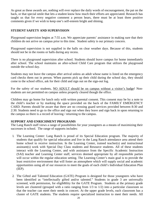As great as these awards are, nothing will ever replace the daily words of encouragement, the pat on the back, or that special smile that lets a student know how much their efforts are appreciated. Research has taught us that for every negative comment a person hears, there must be at least three positive comments given if we wish to keep one's self-esteem bright and shining.

#### **STUDENT SAFETY AND SUPERVISION**

Playground supervision begins at 7:55 a.m. We appreciate parents' assistance in making sure that their children do not arrive on campus prior to this time. Student safety is our primary concern.

Playground supervision is not supplied in the halls on clear weather days. Because of this, students should not be in the rooms or halls during any recess.

There is no playground supervision after school. Students should leave campus for home immediately after school. The school maintains an after-school Child Care program that utilizes the playground outside the school day.

Students may not leave the campus after arrival unless an adult whose name is listed on the emergency card checks them out in person. When parents pick up their child during the school day, they should come to the school office, ask for their child and sign out on the sign-out log.

For the safety of our students, NO ADULT should be on campus without a visitor's badge! Nonstudents are not permitted on campus unless properly cleared though the office.

Children may go home for lunch only with written parental consent. This consent may be by a note to the child's teacher or by marking the space provided on the back of the FAMILY EMERGENCY CARD. Parents should be aware that there are no crossing guard services provided between 8:30 and 2:30. Students need to go to the office and sign out when they leave and sign back in upon returning to the campus so there is a record of leaving / returning to the campus.

#### **SUPPORT AND ENRICHMENT PROGRAMS**

The Lang Ranch staff views a range of possibilities for your youngsters as a means of maximizing their successes in school. The range of supports includes:

- 1. The Learning Center: Lang Ranch is proud of its Special Education program. The majority of students that qualify for special education and live in the Lang Ranch attendance area attend their home school to receive instruction. In the Learning Center, trained teacher(s) and instructional assistant(s) work with Special Day Class students and Resource students. All of these students interact with the Learning Center, and with assistance from the Specific Academic Instruction (SAI) teacher and Learning Center staff, services deemed appropriate by all responsible parties will occur within the regular education setting. The Learning Center's main goal is to provide the least restrictive environment that will foster an atmosphere which will supply social and academic opportunities using all of our resources to meet the goals of each child's Individual Education Plan (IEP).
- 2. The Gifted and Talented Education (GATE) Program is designed for those youngsters who have been identified as "intellectually gifted and/or talented." Students in grade 3 are universally screened, with permission, for eligib8ility for the GATE Program. Students at the primary grade levels are clustered (grouped with a ratio ranging from 1/3 to 1/2) into a particular classroom so that the teacher can meet their needs in concert. At the upper grade levels, each classroom has a cluster of GATE students. The students require specialized instruction to meet their needs. All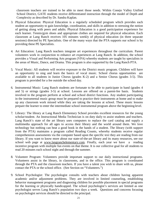classroom teachers are trained to be able to meet those needs. Within Conejo Valley Unified School District, GATE students receive differentiated instruction through the model of Depth and Complexity as described by Dr. Sandra Kaplan.

- 3. Physical Education: Physical Education is a regularly scheduled program which provides each student an opportunity to gain knowledge, coordination, and skills in addition to stressing the notion of getting along with peers and adults. Physical Education is a good participation experience for each learner. Tennis/gym shoes and appropriate clothes are required for physical education. Each classroom at Lang Ranch receives 105 minutes weekly of physical education (in three separate sessions) directed by PE Specialists. One of the many ways that the PTA supports our school is by providing these PE Specialists.
- 4. Art Education: Lang Ranch teachers integrate art experiences throughout the curriculum. Parent volunteers work in conjunction to enhance art experiences at Lang Ranch. In addition, the school provides a Visual and Performing Arts program (VPA) whereby students are taught by specialists in the areas of Music, Dance, and Drama. This program is also supported by the Lang Ranch PTA.
- 5. Vocal Music: All students will receive exposure to the District music program. Children will have an opportunity to sing and learn the basics of vocal music. School chorus opportunities available to all students in Junior Chorus (grades K-2) and a Senior Chorus (grades 3-5). This program is provided for a fee outside the school day.
- 6. Instrumental Music: Lang Ranch students are fortunate to be able to participate in band (grades 4 and 5) or strings (grades 3-5) at school. Lessons are offered on a parent-fee basis. Students involved in the program perform at school and school district functions. Any student participating in the instrumental music group must be prepared to practice their instruments at home and to make up any classroom work missed while they are taking the lessons at school. These music lessons prepare the learner to enter the intermediate school instrumental program above the beginning level.
- 7. Library: The library at Lang Ranch Elementary School provides excellent resources for the young scholar/student. An Instructional Media Technician is on duty daily to assist students and teachers. Lang Ranch's state of the art library uses computers to replace the card catalog and supply a multimedia approach for all ages to access their library and the world around them. We love technology but nothing can beat a good book in the hands of a student. The library (with support from the PTA) maintains a program called Reading Counts, whereby students receive regular comprehension assessments via the computer based upon the specific text they are reading from our library. If you want to know more about our state-of-the-art library and its many resources, see our school web page at [www.langranchelementary.com.](http://www.langranchelementary.com/) Finally, each year we have a reading incentive program with multiple fun events on that theme. It is our collective goal for all students to read 20 minutes each school night and through the summer.
- 8. Volunteer Program: Volunteers provide important support to our daily instructional programs. Volunteers assist in the library, in classrooms, and in the office. This program is coordinated through the PTA and the classroom teachers. If you have a talent you wish to share with us, please contact the PTA or the school office. (See Section on "Volunteers.")
- 9. School Psychologist: The psychologist consults with teachers about children having apparent academic and/or adjustment problems. They are involved in limited counseling, establishing behavior management programs and diagnosing children for possible placement in special programs for the learning or physically handicapped. The school psychologist's services are limited as one psychologist serves Lang Ranch's population two days a week. Questions and concerns focusing on psychologist services should be directed to the principal.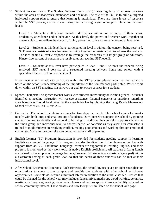10. Student Success Team: The Student Success Team (SST) meets regularly to address concerns within the areas of academics, attendance and behavior. The role of the SST is to build a targeted individual support plan to ensure that learning is maximized. There are three levels of response within the SST process, and each level brings an increasing degree of support. These are the three levels:

Level 1 - Students at this level manifest difficulties within one or more of these areas: academics, attendance and/or behavior. At this level, the parent and teacher work together to create a plan to remediate the concern. Eighty percent of concerns are ameliorated at level one.

Level 2 – Students at this level have participated in level 1 without the concern being resolved. SST level 2 consists of a teacher team working together to create a plan to address the concern. The idea behind a level 2 response is to leverage the resources of a larger group of educators. Ninety-five percent of concerns are resolved upon reaching SST level 2.

Level 3 – Students at this level have participated in level 1 and 2 without the concern being resolved. SST level 3 consists of a structured meeting between home and school with a specialized team of school site personnel.

If you receive an invitation to participate within the SST process, please know that the request is based on the school's understanding of the importance of the home/school partnership. When we sit down within an SST meeting, it is always our goal to *ensure success* for a student.

- 11. Speech Therapist: The speech teacher works with students individually or in small groups. Students identified as needing instruction will receive assistance. Parental concerns or questions regarding speech services should be directed to the speech teacher by phoning the Lang Ranch Elementary School office at 241-4417, ext. 265.
- 12. Counselor: The school maintains a counselor two days per week. The school counselor works mostly with both large and small groups of students. Our Counselor supports the school by training students on how to identify and respond to bullying. In addition, the counselor supports students at the small group and individual level to address particular concerns as they arise. Our counselor is trained to guide students in resolving conflict, making good choices and working through emotional challenges. Visits to the counselor can be requested by staff or parents.
- 13. English Learner (EL) Program: Instruction is provided for students needing support in learning English as a second language. This program is under the direction of the classroom teacher with support from an ELL Facilitator. Language learners are supported in learning English, and their progress is monitored as they work towards native English proficiency. All teachers at Lang Ranch are trained in the support of language learners; however, EL students are clustered (grouped) within a classroom setting at each grade level so that the needs of these students can be met at their instructional level.
- 14. After School Enrichment Programs: Each trimester, the school invites seven or eight specialists or organizations to come to our campus and provide our students with after school enrichment opportunities. Some classes require a minimal lab fee in addition to the initial class fee. Classes that could be planned for the school year may include: dance, mixed media art, wood working, ceramics, martial arts, Lego engineering, visual arts, chorus and various sports. Class availability is based on school community interest. These classes and how to register are listed on the school web page.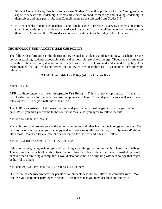- 15. Student Council: Lang Ranch offers a robust Student Council opportunity for our Wranglers who aspire to service and leadership. Officers are elected to conduct meetings and develop leadership in themselves and their peers. Student Council members are selected from Grades 3-5.
- 16. KLRN: Thanks to dedicated teachers, Lang Ranch is able to provide its very own television station. One of its goals for this student-operated weekly station is to have all students see themselves on their own TV station. KLRN broadcasts are seen by students each Friday in the classroom.

#### **TECHNOLOGY USE / ACCEPTABLE USE POLICY**

The following information is the district policy related to student use of technology. Teachers use the policy in teaching students acceptable, safe and responsible use of technology. Though the information is taught in the classroom, it is important for you as a parent to know and understand the policy. It is recommended that you read and review this policy with your child(ren). It is contained here for your reference:

#### **CVUSD Acceptable Use Policy (AUP) - Grades K - 2**

#### WHAT IS THE AUP?

**AUP** are three letters that mean **Acceptable Use Policy**. This is a grown-up phrase. It means a list of rules that we follow when we use computers at school. You and your parents will read these rules together. Then you will know the rules.

The AUP is a **contract**. That means that you and your parents must "**sign**" it or write your name on it. When you sign your name to the contract it means that you agree to follow the rules.

#### WHY DOES MY SCHOOL HAVE AN AUP?

Many children and grown-ups use the school computers and other learning technology or devices. We need to make sure that everyone is happy and safe working on the computers, possibly using iPads and other tools. We need to take care of our computers too, so we need rules to follow.

#### WHY DO I HAVE TO BE VERY CAREFUL TO FOLLOW THE RULES?

Using computers, using technology, and searching about things on the Internet in school is a **privilege.**  This means that my school needs to trust me to follow the rules. I show that I can be trusted by how I behave when I am using a computer. I would also not want to do anything with technology that might be hurtful to others.

#### WHAT HAPPENS IF A STUDENT DOES NOT FOLLOW THE RULES IN THE AUP?

Our school has **"consequences**" or penalties for students who do not follow the computer rules. You can lose your computer **privileges** in school. This means that you may lose the opportunity to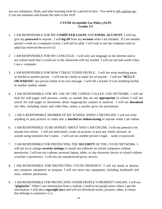use our computers, iPads, and other learning tools for a period of time. You need to tell a grown-up if you see someone who breaks the rules in the AUP.

#### **CVUSD Acceptable Use Policy (AUP) Grades 3-5**

- 1. I AM RESPONSIBLE FOR MY **COMPUTER LOGIN** AND **EMAIL ACCOUNT**. I will not give my **password** to anyone. I will **log off** from my **account** when I am finished. If I see another person's work on a computer screen, I will tell an adult. I will wait to use the computer until an adult has removed the material.
- 2. I AM RESPONSIBLE FOR MY LANGUAGE. I will only use language on the Internet and in my school email that I would use in the classroom with my teacher. I will not use bad words when I use a computer.
- 3. I AM RESPONSIBLE FOR HOW I TREAT OTHER PEOPLE. I will not write anything mean or hurtful to another person. I will not be a bully or make fun of anyone. I will not "**BULLY OR HARASS**" any person online or by text message. I will tell a teacher if I see anything hurtful to another student online.
- 4. I AM RESPONSIBLE FOR MY USE OF THE CONEJO VALLEY USD NETWORK. I will not look for web pages with pictures, words, or sounds that are not **appropriate** in school. I will not search for web pages or documents about inappropriate content or material. I will not **download**  any files, including music and video files, unless a teacher gives me permission.
- 5. I AM A RESPONSIBLE MEMBER OF MY SCHOOL WHEN I AM ONLINE. I will not write anything or post pictures or video that is **hurtful or embarrassing** to anyone while I am online.
- 6. I AM RESPONSIBLE TO BE HONEST ABOUT WHO I AM ONLINE. I will not pretend to be anyone else online. I will not send email, create an account, or post any words, pictures, or sounds using someone else's name. I will not use another person's login name or password.
- 7. I AM RESPONSIBLE FOR PROTECTING THE **SECURITY** OF THE CVUSD NETWORK. I will not try to change **security settings** or install any software on school computers without permission. I will not use a phone, personal laptop, tablet, or any electronic device in school without a teacher's permission. I will not use unauthorized proxy servers.
- 8. I AM RESPONSIBLE FOR PROTECTING CVUSD PROPERTY. I will not break or destroy any computer equipment on purpose. I will not move any equipment, including keyboards and mice, without permission.
- 9. I AM RESPONSIBLE FOR PROTECTING OTHER PEOPLE'S PROPERTY ONLINE. I will not "**plagiarize**." When I use information from a website, I need to let people know where I got the information. I will obey **copyright laws** and will not download words, pictures, video, or music that belongs to some one  $e$  l s  $e$ .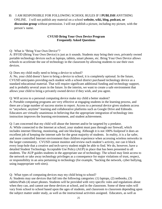#### 10. I AM RESPONSIBLE FOR FOLLOWING SCHOOL RULES IF I **PUBLISH** ANYTHING ONLINE. I will not publish any material on a school **website, wiki, blog, podcast, or discussion group** without permission. I will not publish a picture, including my picture, with the person's name.

#### **CVUSD Bring Your Own Device Program Frequently Asked Questions**

#### Q: What is "Bring Your Own Device"?

A: BYOD (Bring Your Own Device) is just as it sounds. Students may bring their own, privately owned portable technology devices such as laptops, tablets, smart phones, etc. Bring Your Own Device allows schools to accelerate the use of technology in the classroom by allowing students to use their own devices.

#### Q: Does my child really need to bring a device to school?

A: No, your child doesn't have to bring a device to school, it is completely optional. In the future, CVUSD anticipates providing each student with a school district purchased technology device as a standard educational material. That will require significant additional funding and technology support, and is probably several years in the future. In the interim, we want to create a safe environment that allows your child to bring a privately owned device if they wish, and you agree.

#### Q: Will access to a personal computing device make my child a better student?

A: Portable computing programs are very effective at engaging students in the learning process, and there are a large number of success stories to report. Access to a personal device gives students access to "anywhere, anytime" learning and collaborative platforms such as Google Drive and Edmodo. Educators are virtually unanimous in believing that the appropriate integration of technology into instruction improves the learning environment, and student achievement.

Q: I am concerned that my child will abuse the Internet and/or be targeted by a predator.

A: While connected to the Internet at school, your student must pass through our firewall, which includes internet filtering, monitoring, and site blocking. Although it is not 100% foolproof it does an excellent job of keeping the internet safe for the great majority of students. In reality, it is a far safer, and more controlled Internet environment than children experience when accessing wireless networks in the larger community. CVUSD cannot monitor and review each student's activity, nor can it block every loop-hole that a creative and tech-savvy student might be able to find. We do, however, have a detailed Student Technology Acceptable Use Policy (AUP) in place that has been presented to all students. The AUP guides students in the appropriate use of technology. The school may limit access to the network or take away technology privileges as a consequence for major violations of trust, respect, or responsibility in an area pertaining to technology (for example, "hacking the network, cyber bullying, using inappropriate web sites).

#### Q: What types of computing devices may my child bring to school?

A: Students may use devices that fall into the following categories: (1) laptops, (2) netbooks, (3) tablets/iPads (4) smart phones. Students will be provided with very specific rules and regulations about when they can, and cannot use these devices at school, and in the classroom. Some of these rules will vary from school to school based upon the ages of students, and classroom to classroom depending upon the subject matter under study, as well as the instructional activities assigned. Educators, as well as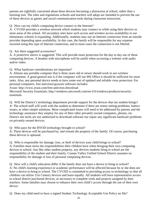parents are rightfully concerned about these devices becoming a distraction at school, rather than a learning tool. The rules and regulations schools and teachers will adopt are intended to prevent the use of these devices as games and social communication tools during classroom instruction.

Q: How can my child's computing device connect to the Internet?

A: CVUSD provides a wireless network which students may connect to while using their devices in most areas of the school. All secondary sites have such access and wireless access availability in our elementary schools is expanding. Additionally, students may use an Internet connection from an outside provider depending upon availability. In this case, the family will be responsible for any expense incurred using this type of Internet connection, and in most cases the connection is not filtered.

Q: Are there suggested accessories?

A: A protective sleeve is suggested. This will provide more protection for the day to day use of these computing devices. A headset with microphone will be useful when accessing a website with audio and/or video.

Q: What hardware considerations are important?

A: Almost any portable computer that is three years old or newer should work in our wireless environment. A good general test is if the computer will run MS Office it should be sufficient for most tasks. Also, any personal device needs to have some sort of updated and reliable virus protection: For personal computers, free antivirus/spyware software includes:

Avast:<http://www.avast.com/free-antivirus-download>

Microsoft Security Essentials: [http://windows.microsoft.com/en-US/windows/products/security](http://windows.microsoft.com/en-US/windows/products/security-)essentials

Q: Will the District's technology department provide support for the devices that my student brings? A: The school staff will work with the student to determine if there are minor setting problems, battery issues, or other simple solutions. More complicated issues will need to be addressed by parents and the technology assistance they employ for any of their other privately owned computers, phones, etc. District site techs are not authorized to download software nor repair any significant hardware problems on privately owned devices.

Q: Who pays for the BYOD technology brought to school?

A: These devices will be purchased by, and remain the property of the family. Of course, purchasing these devices is optional.

Q: Who is responsible for damage, loss, or theft of devices your child brings to school? A: Families must stress the responsibilities their children have when bringing their own computing devices to school. Just like other student property, any devices students bring to school are the responsibility of the student and their family. Conejo Valley Unified School District assumes no responsibility for damage or loss of personal computing devices.

Q: How will a child's education differ if the family does not have a device to bring to school? A: No child's learning experience or academic performance will be affected because he or she does not have a device to bring to school. The CVUSD is committed to providing access to technology so that all children can utilize 21st Century devices and learn equally. All students will have representative access to school district purchased devices, as necessary to complete work and projects assigned by their teachers. Some families may choose to enhance their own child's access through the use of their own device.

Q: Does my child need to have a signed Student Technology Acceptable Use Policy on file?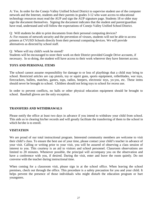A: Yes. In order for the Conejo Valley Unified School District to supervise student use of the computer network and the Internet, students and their parents in grades 3-12 who want access to educational technology resources must read the AUP and sign the AUP signature page. Students 18 or older may sign the document themselves. Signing the document indicates that the student and parent/guardian have read, understand and will follow the expectations of Conejo Valley Unified School District.

Q: Will students be able to print documents from their personal computing devices? A: For reasons of network security and the prevention of viruses, students will not be able to access printers at CVUSD Schools directly from their personal computing devices. We will provide alternatives as directed by school staff.

Q: Where will my child's work be stored?

Students will be encouraged to store their work on their District provided Google Drive accounts, if necessary. In so doing, the student will have access to their work wherever they have Internet access.

#### **TOYS AND PERSONAL ITEMS**

The school cannot assume responsibility for damage to or loss of playthings that a child may bring to school. Restricted articles are cap pistols, toy or squirt guns, sports equipment, rollerblades, war toys, firecrackers, bullets, matches, games, tops, radios, beepers, electronic toys, yo-yos, etc. These items should never be brought to school. Children should not bring toys to school for recess use.

In order to prevent conflicts, no balls or other physical education equipment should be brought to school. Baseball gloves are the only exception.

#### **TRANSFERS AND WITHDRAWALS**

Please notify the office at least two days in advance if you intend to withdraw your child from school. This aids us in clearing his/her records and will greatly facilitate the transferring of them to the school in which he/she is to enroll.

#### **VISITATION**

We are proud of our total instructional program. Interested community members are welcome to visit their child's class. To ensure the best use of your time, please contact your child's teacher in advance of your visit. Calling or writing prior to your visit, you will be assured of observing a class session of interest to you. This courtesy is an aid to visitors and school personnel. Classroom observations are limited to 20 minutes. Whenever possible, the principal will accompany you on the observation and have a conference with you, if desired. During the visit, enter and leave the room quietly. Do not converse with the teacher during instructional time.

When coming for a classroom visit, please sign in at the school office. When leaving the school premises, check out through the office. This procedure is a safety precaution for you and your child. It helps prevent the presence of those individuals who might disturb the education program or hurt youngsters.